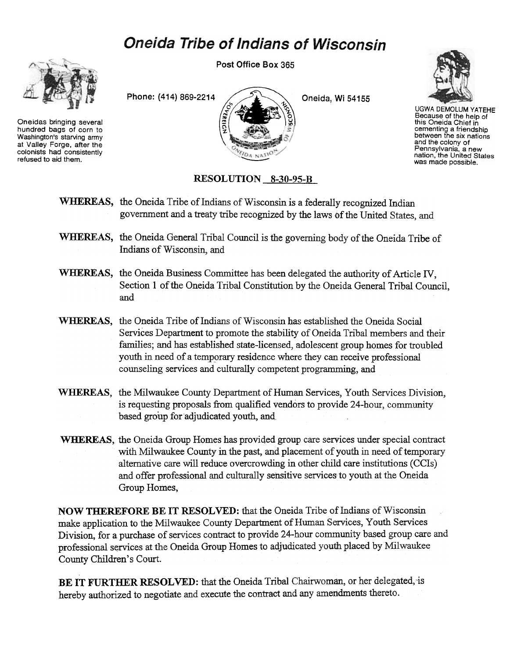## **Oneida Tribe of Indians of Wisconsin**



Oneidas bringing several hundred bags of corn to Washington's starving army at Valley Forge, after the colonists had consistently refused to aid them.

Post Office Box 365





UGWA DEMOLUM YATEHE Because of the help of this Oneida Chief in cementing a friendship<br>between the six nation and the colony of Pennsylvania, a new nation, the United States was made possible.

## RESOLUTION 8-30-95-B

- WHEREAS, the Oneida Tribe of Indians of Wisconsin is a federally recognized Indian government and a treaty tribe recognized by the laws of the United States, and
- WHEREAS, the Oneida General Tribal Council is the governing body of the Oneida Tribe of Indians of Wisconsin, and
- WHEREAS, the Oneida Business Committee has been delegated the authority of Article IV, Section 1 of the Oneida Tribal Constitution by the Oneida General Tribal Council, and
- WHEREAS, the Oneida Tribe of Indians of Wisconsin has established the Oneida Social Services Department to promote the stability of Oneida Tribal members and their families; and has established state-licensed, adolescent group homes for troubled youth in need of a temporary residence where they can receive professional counseling services and culturally competent programming, and
- WHEREAS, the Milwaukee County Department of Human Services, Youth Services Division, is requesting proposals from qualified vendors to provide 24-hour, community based group for adjudicated youth, and
- WHEREAS, the Oneida Group Homes has provided group care services under special contract with Milwaukee County in the past, and placement of youth in need of temporary alternative care will reduce overcrowding in other child care institutions (CCls) and offer professional and culturally sensitive services' to youth at the Oneida Group Homes,

NOW THEREFORE BE IT RESOLVED: that the Oneida Tribe of Indians of Wisconsin make application to the Milwaukee County Department of Human Services, Youth Services Division, for a purchase of services contract to provide 24-hour community based group care and professional services at the Oneida Group Homes to adjudicated youth placed by Milwaukee County Children's Court.

BE IT FURTHER RESOLVED: that the Oneida Tribal Chairwoman, or her delegated,'is hereby authorized to negotiate and execute the contract and any amendments thereto.